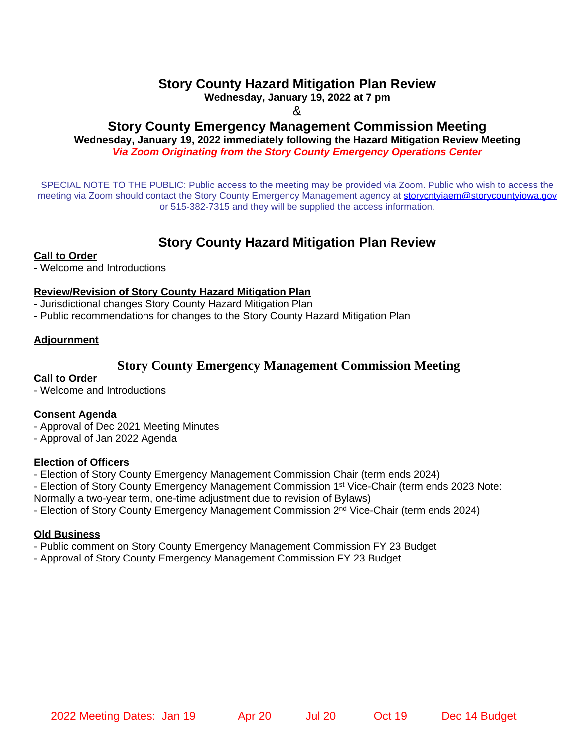# **Story County Hazard Mitigation Plan Review**

**Wednesday, January 19, 2022 at 7 pm**

 $\mathcal{R}_{\mathcal{L}}$ 

# **Story County Emergency Management Commission Meeting**

**Wednesday, January 19, 2022 immediately following the Hazard Mitigation Review Meeting** *Via Zoom Originating from the Story County Emergency Operations Center*

SPECIAL NOTE TO THE PUBLIC: Public access to the meeting may be provided via Zoom. Public who wish to access the meeting via Zoom should contact the Story County Emergency Management agency at [storycntyiaem@storycountyiowa.gov](mailto:storycntyiaem@storycountyiowa.gov) or 515-382-7315 and they will be supplied the access information.

# **Story County Hazard Mitigation Plan Review**

## **Call to Order**

- Welcome and Introductions

## **Review/Revision of Story County Hazard Mitigation Plan**

- Jurisdictional changes Story County Hazard Mitigation Plan

- Public recommendations for changes to the Story County Hazard Mitigation Plan

## **Adjournment**

## **Story County Emergency Management Commission Meeting**

## **Call to Order**

- Welcome and Introductions

### **Consent Agenda**

- Approval of Dec 2021 Meeting Minutes

- Approval of Jan 2022 Agenda

### **Election of Officers**

- Election of Story County Emergency Management Commission Chair (term ends 2024)

- Election of Story County Emergency Management Commission 1<sup>st</sup> Vice-Chair (term ends 2023 Note:

Normally a two-year term, one-time adjustment due to revision of Bylaws)

- Election of Story County Emergency Management Commission 2<sup>nd</sup> Vice-Chair (term ends 2024)

### **Old Business**

- Public comment on Story County Emergency Management Commission FY 23 Budget

- Approval of Story County Emergency Management Commission FY 23 Budget